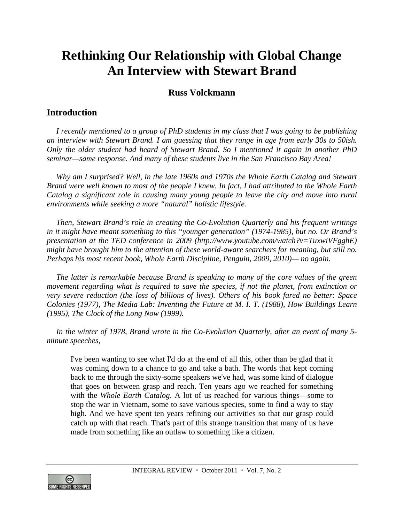## **Rethinking Our Relationship with Global Change An Interview with Stewart Brand**

## **Russ Volckmann**

## **Introduction**

*I recently mentioned to a group of PhD students in my class that I was going to be publishing an interview with Stewart Brand. I am guessing that they range in age from early 30s to 50ish. Only the older student had heard of Stewart Brand. So I mentioned it again in another PhD seminar—same response. And many of these students live in the San Francisco Bay Area!* 

*Why am I surprised? Well, in the late 1960s and 1970s the Whole Earth Catalog and Stewart Brand were well known to most of the people I knew. In fact, I had attributed to the Whole Earth Catalog a significant role in causing many young people to leave the city and move into rural environments while seeking a more "natural" holistic lifestyle.* 

*Then, Stewart Brand's role in creating the Co-Evolution Quarterly and his frequent writings in it might have meant something to this "younger generation" (1974-1985), but no. Or Brand's presentation at the TED conference in 2009 (http://www.youtube.com/watch?v=TuxwiVFgghE) might have brought him to the attention of these world-aware searchers for meaning, but still no. Perhaps his most recent book, Whole Earth Discipline, Penguin, 2009, 2010)— no again.* 

*The latter is remarkable because Brand is speaking to many of the core values of the green movement regarding what is required to save the species, if not the planet, from extinction or very severe reduction (the loss of billions of lives). Others of his book fared no better: Space Colonies (1977), The Media Lab: Inventing the Future at M. I. T. (1988), How Buildings Learn (1995), The Clock of the Long Now (1999).* 

*In the winter of 1978, Brand wrote in the Co-Evolution Quarterly, after an event of many 5 minute speeches,* 

I've been wanting to see what I'd do at the end of all this, other than be glad that it was coming down to a chance to go and take a bath. The words that kept coming back to me through the sixty-some speakers we've had, was some kind of dialogue that goes on between grasp and reach. Ten years ago we reached for something with the *Whole Earth Catalog*. A lot of us reached for various things—some to stop the war in Vietnam, some to save various species, some to find a way to stay high. And we have spent ten years refining our activities so that our grasp could catch up with that reach. That's part of this strange transition that many of us have made from something like an outlaw to something like a citizen.

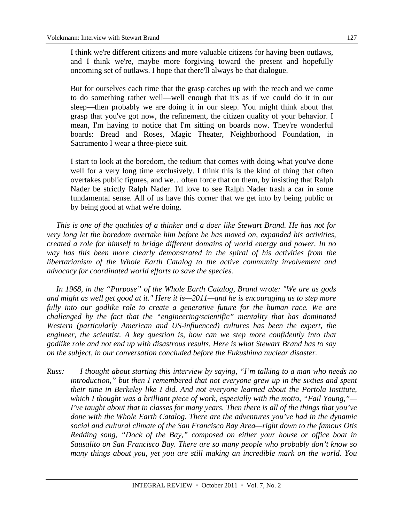I think we're different citizens and more valuable citizens for having been outlaws, and I think we're, maybe more forgiving toward the present and hopefully oncoming set of outlaws. I hope that there'll always be that dialogue.

But for ourselves each time that the grasp catches up with the reach and we come to do something rather well—well enough that it's as if we could do it in our sleep—then probably we are doing it in our sleep. You might think about that grasp that you've got now, the refinement, the citizen quality of your behavior. I mean, I'm having to notice that I'm sitting on boards now. They're wonderful boards: Bread and Roses, Magic Theater, Neighborhood Foundation, in Sacramento I wear a three-piece suit.

I start to look at the boredom, the tedium that comes with doing what you've done well for a very long time exclusively. I think this is the kind of thing that often overtakes public figures, and we…often force that on them, by insisting that Ralph Nader be strictly Ralph Nader. I'd love to see Ralph Nader trash a car in some fundamental sense. All of us have this corner that we get into by being public or by being good at what we're doing.

*This is one of the qualities of a thinker and a doer like Stewart Brand. He has not for very long let the boredom overtake him before he has moved on, expanded his activities, created a role for himself to bridge different domains of world energy and power. In no way has this been more clearly demonstrated in the spiral of his activities from the libertarianism of the Whole Earth Catalog to the active community involvement and advocacy for coordinated world efforts to save the species.* 

*In 1968, in the "Purpose" of the Whole Earth Catalog, Brand wrote: "We are as gods and might as well get good at it." Here it is—2011—and he is encouraging us to step more*  fully into our godlike role to create a generative future for the human race. We are *challenged by the fact that the "engineering/scientific" mentality that has dominated Western (particularly American and US-influenced) cultures has been the expert, the engineer, the scientist. A key question is, how can we step more confidently into that godlike role and not end up with disastrous results. Here is what Stewart Brand has to say on the subject, in our conversation concluded before the Fukushima nuclear disaster.* 

*Russ: I thought about starting this interview by saying, "I'm talking to a man who needs no introduction," but then I remembered that not everyone grew up in the sixties and spent their time in Berkeley like I did. And not everyone learned about the Portola Institute, which I thought was a brilliant piece of work, especially with the motto, "Fail Young,"— I've taught about that in classes for many years. Then there is all of the things that you've done with the Whole Earth Catalog. There are the adventures you've had in the dynamic social and cultural climate of the San Francisco Bay Area—right down to the famous Otis Redding song, "Dock of the Bay," composed on either your house or office boat in Sausalito on San Francisco Bay. There are so many people who probably don't know so many things about you, yet you are still making an incredible mark on the world. You*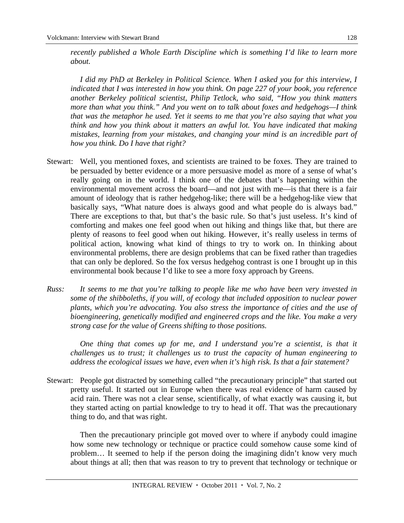*recently published a Whole Earth Discipline which is something I'd like to learn more about.* 

 *I did my PhD at Berkeley in Political Science. When I asked you for this interview, I indicated that I was interested in how you think. On page 227 of your book, you reference another Berkeley political scientist, Philip Tetlock, who said, "How you think matters more than what you think." And you went on to talk about foxes and hedgehogs—I think that was the metaphor he used. Yet it seems to me that you're also saying that what you think and how you think about it matters an awful lot. You have indicated that making mistakes, learning from your mistakes, and changing your mind is an incredible part of how you think. Do I have that right?* 

- Stewart: Well, you mentioned foxes, and scientists are trained to be foxes. They are trained to be persuaded by better evidence or a more persuasive model as more of a sense of what's really going on in the world. I think one of the debates that's happening within the environmental movement across the board—and not just with me—is that there is a fair amount of ideology that is rather hedgehog-like; there will be a hedgehog-like view that basically says, "What nature does is always good and what people do is always bad." There are exceptions to that, but that's the basic rule. So that's just useless. It's kind of comforting and makes one feel good when out hiking and things like that, but there are plenty of reasons to feel good when out hiking. However, it's really useless in terms of political action, knowing what kind of things to try to work on. In thinking about environmental problems, there are design problems that can be fixed rather than tragedies that can only be deplored. So the fox versus hedgehog contrast is one I brought up in this environmental book because I'd like to see a more foxy approach by Greens.
- *Russ: It seems to me that you're talking to people like me who have been very invested in some of the shibboleths, if you will, of ecology that included opposition to nuclear power plants, which you're advocating. You also stress the importance of cities and the use of bioengineering, genetically modified and engineered crops and the like. You make a very strong case for the value of Greens shifting to those positions.*

*One thing that comes up for me, and I understand you're a scientist, is that it challenges us to trust; it challenges us to trust the capacity of human engineering to address the ecological issues we have, even when it's high risk. Is that a fair statement?* 

Stewart: People got distracted by something called "the precautionary principle" that started out pretty useful. It started out in Europe when there was real evidence of harm caused by acid rain. There was not a clear sense, scientifically, of what exactly was causing it, but they started acting on partial knowledge to try to head it off. That was the precautionary thing to do, and that was right.

 Then the precautionary principle got moved over to where if anybody could imagine how some new technology or technique or practice could somehow cause some kind of problem… It seemed to help if the person doing the imagining didn't know very much about things at all; then that was reason to try to prevent that technology or technique or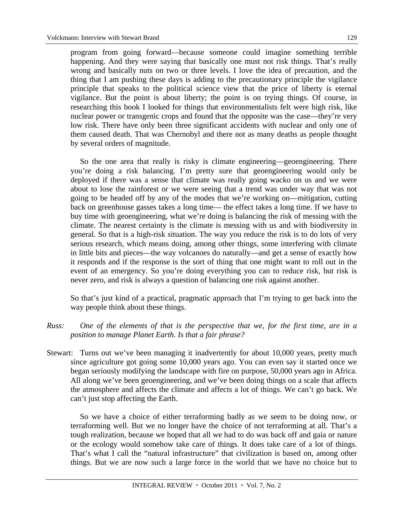program from going forward—because someone could imagine something terrible happening. And they were saying that basically one must not risk things. That's really wrong and basically nuts on two or three levels. I love the idea of precaution, and the thing that I am pushing these days is adding to the precautionary principle the vigilance principle that speaks to the political science view that the price of liberty is eternal vigilance. But the point is about liberty; the point is on trying things. Of course, in researching this book I looked for things that environmentalists felt were high risk, like nuclear power or transgenic crops and found that the opposite was the case—they're very low risk. There have only been three significant accidents with nuclear and only one of them caused death. That was Chernobyl and there not as many deaths as people thought by several orders of magnitude.

 So the one area that really is risky is climate engineering—geoengineering. There you're doing a risk balancing. I'm pretty sure that geoengineering would only be deployed if there was a sense that climate was really going wacko on us and we were about to lose the rainforest or we were seeing that a trend was under way that was not going to be headed off by any of the modes that we're working on—mitigation, cutting back on greenhouse gasses takes a long time— the effect takes a long time. If we have to buy time with geoengineering, what we're doing is balancing the risk of messing with the climate. The nearest certainty is the climate is messing with us and with biodiversity in general. So that is a high-risk situation. The way you reduce the risk is to do lots of very serious research, which means doing, among other things, some interfering with climate in little bits and pieces—the way volcanoes do naturally—and get a sense of exactly how it responds and if the response is the sort of thing that one might want to roll out in the event of an emergency. So you're doing everything you can to reduce risk, but risk is never zero, and risk is always a question of balancing one risk against another.

 So that's just kind of a practical, pragmatic approach that I'm trying to get back into the way people think about these things.

- *Russ: One of the elements of that is the perspective that we, for the first time, are in a position to manage Planet Earth. Is that a fair phrase?*
- Stewart: Turns out we've been managing it inadvertently for about 10,000 years, pretty much since agriculture got going some 10,000 years ago. You can even say it started once we began seriously modifying the landscape with fire on purpose, 50,000 years ago in Africa. All along we've been geoengineering, and we've been doing things on a scale that affects the atmosphere and affects the climate and affects a lot of things. We can't go back. We can't just stop affecting the Earth.

 So we have a choice of either terraforming badly as we seem to be doing now, or terraforming well. But we no longer have the choice of not terraforming at all. That's a tough realization, because we hoped that all we had to do was back off and gaia or nature or the ecology would somehow take care of things. It does take care of a lot of things. That's what I call the "natural infrastructure" that civilization is based on, among other things. But we are now such a large force in the world that we have no choice but to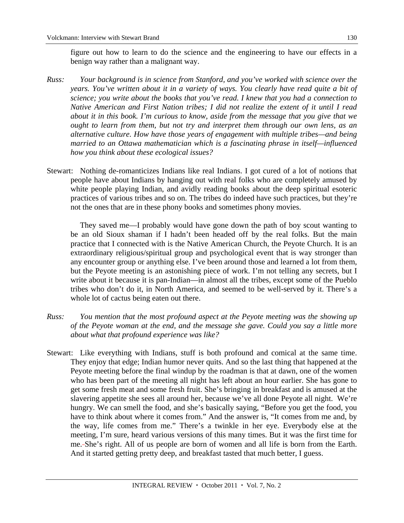figure out how to learn to do the science and the engineering to have our effects in a benign way rather than a malignant way.

- *Russ: Your background is in science from Stanford, and you've worked with science over the years. You've written about it in a variety of ways. You clearly have read quite a bit of science; you write about the books that you've read. I knew that you had a connection to Native American and First Nation tribes; I did not realize the extent of it until I read about it in this book. I'm curious to know, aside from the message that you give that we ought to learn from them, but not try and interpret them through our own lens, as an alternative culture. How have those years of engagement with multiple tribes—and being married to an Ottawa mathematician which is a fascinating phrase in itself—influenced how you think about these ecological issues?*
- Stewart: Nothing de-romanticizes Indians like real Indians. I got cured of a lot of notions that people have about Indians by hanging out with real folks who are completely amused by white people playing Indian, and avidly reading books about the deep spiritual esoteric practices of various tribes and so on. The tribes do indeed have such practices, but they're not the ones that are in these phony books and sometimes phony movies.

 They saved me—I probably would have gone down the path of boy scout wanting to be an old Sioux shaman if I hadn't been headed off by the real folks. But the main practice that I connected with is the Native American Church, the Peyote Church. It is an extraordinary religious/spiritual group and psychological event that is way stronger than any encounter group or anything else. I've been around those and learned a lot from them, but the Peyote meeting is an astonishing piece of work. I'm not telling any secrets, but I write about it because it is pan-Indian—in almost all the tribes, except some of the Pueblo tribes who don't do it, in North America, and seemed to be well-served by it. There's a whole lot of cactus being eaten out there.

- *Russ: You mention that the most profound aspect at the Peyote meeting was the showing up of the Peyote woman at the end, and the message she gave. Could you say a little more about what that profound experience was like?*
- Stewart: Like everything with Indians, stuff is both profound and comical at the same time. They enjoy that edge; Indian humor never quits. And so the last thing that happened at the Peyote meeting before the final windup by the roadman is that at dawn, one of the women who has been part of the meeting all night has left about an hour earlier. She has gone to get some fresh meat and some fresh fruit. She's bringing in breakfast and is amused at the slavering appetite she sees all around her, because we've all done Peyote all night. We're hungry. We can smell the food, and she's basically saying, "Before you get the food, you have to think about where it comes from." And the answer is, "It comes from me and, by the way, life comes from me." There's a twinkle in her eye. Everybody else at the meeting, I'm sure, heard various versions of this many times. But it was the first time for me. She's right. All of us people are born of women and all life is born from the Earth. And it started getting pretty deep, and breakfast tasted that much better, I guess.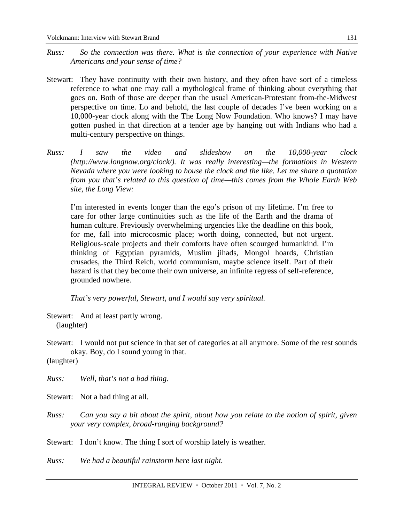- *Russ: So the connection was there. What is the connection of your experience with Native Americans and your sense of time?*
- Stewart: They have continuity with their own history, and they often have sort of a timeless reference to what one may call a mythological frame of thinking about everything that goes on. Both of those are deeper than the usual American-Protestant from-the-Midwest perspective on time. Lo and behold, the last couple of decades I've been working on a 10,000-year clock along with the The Long Now Foundation. Who knows? I may have gotten pushed in that direction at a tender age by hanging out with Indians who had a multi-century perspective on things.
- *Russ: I saw the video and slideshow on the 10,000-year clock (http://www.longnow.org/clock/). It was really interesting—the formations in Western Nevada where you were looking to house the clock and the like. Let me share a quotation from you that's related to this question of time—this comes from the Whole Earth Web site, the Long View:*

I'm interested in events longer than the ego's prison of my lifetime. I'm free to care for other large continuities such as the life of the Earth and the drama of human culture. Previously overwhelming urgencies like the deadline on this book, for me, fall into microcosmic place; worth doing, connected, but not urgent. Religious-scale projects and their comforts have often scourged humankind. I'm thinking of Egyptian pyramids, Muslim jihads, Mongol hoards, Christian crusades, the Third Reich, world communism, maybe science itself. Part of their hazard is that they become their own universe, an infinite regress of self-reference, grounded nowhere.

*That's very powerful, Stewart, and I would say very spiritual.* 

- Stewart: And at least partly wrong. (laughter)
- Stewart: I would not put science in that set of categories at all anymore. Some of the rest sounds okay. Boy, do I sound young in that.

(laughter)

*Russ: Well, that's not a bad thing.* 

Stewart: Not a bad thing at all.

*Russ: Can you say a bit about the spirit, about how you relate to the notion of spirit, given your very complex, broad-ranging background?* 

Stewart: I don't know. The thing I sort of worship lately is weather.

*Russ: We had a beautiful rainstorm here last night.*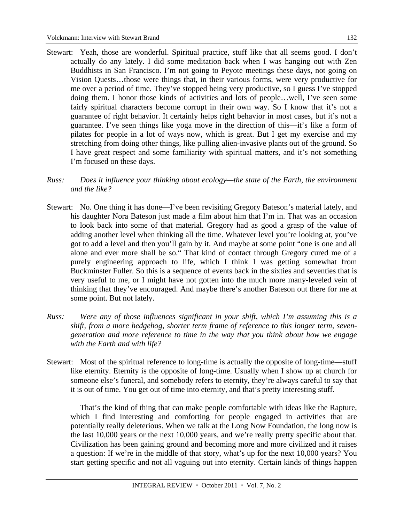- Stewart: Yeah, those are wonderful. Spiritual practice, stuff like that all seems good. I don't actually do any lately. I did some meditation back when I was hanging out with Zen Buddhists in San Francisco. I'm not going to Peyote meetings these days, not going on Vision Quests…those were things that, in their various forms, were very productive for me over a period of time. They've stopped being very productive, so I guess I've stopped doing them. I honor those kinds of activities and lots of people…well, I've seen some fairly spiritual characters become corrupt in their own way. So I know that it's not a guarantee of right behavior. It certainly helps right behavior in most cases, but it's not a guarantee. I've seen things like yoga move in the direction of this—it's like a form of pilates for people in a lot of ways now, which is great. But I get my exercise and my stretching from doing other things, like pulling alien-invasive plants out of the ground. So I have great respect and some familiarity with spiritual matters, and it's not something I'm focused on these days.
- *Russ: Does it influence your thinking about ecology—the state of the Earth, the environment and the like?*
- Stewart: No. One thing it has done—I've been revisiting Gregory Bateson's material lately, and his daughter Nora Bateson just made a film about him that I'm in. That was an occasion to look back into some of that material. Gregory had as good a grasp of the value of adding another level when thinking all the time. Whatever level you're looking at, you've got to add a level and then you'll gain by it. And maybe at some point "one is one and all alone and ever more shall be so." That kind of contact through Gregory cured me of a purely engineering approach to life, which I think I was getting somewhat from Buckminster Fuller. So this is a sequence of events back in the sixties and seventies that is very useful to me, or I might have not gotten into the much more many-leveled vein of thinking that they've encouraged. And maybe there's another Bateson out there for me at some point. But not lately.
- *Russ: Were any of those influences significant in your shift, which I'm assuming this is a shift, from a more hedgehog, shorter term frame of reference to this longer term, sevengeneration and more reference to time in the way that you think about how we engage with the Earth and with life?*
- Stewart: Most of the spiritual reference to long-time is actually the opposite of long-time—stuff like eternity. Eternity is the opposite of long-time. Usually when I show up at church for someone else's funeral, and somebody refers to eternity, they're always careful to say that it is out of time. You get out of time into eternity, and that's pretty interesting stuff.

 That's the kind of thing that can make people comfortable with ideas like the Rapture, which I find interesting and comforting for people engaged in activities that are potentially really deleterious. When we talk at the Long Now Foundation, the long now is the last 10,000 years or the next 10,000 years, and we're really pretty specific about that. Civilization has been gaining ground and becoming more and more civilized and it raises a question: If we're in the middle of that story, what's up for the next 10,000 years? You start getting specific and not all vaguing out into eternity. Certain kinds of things happen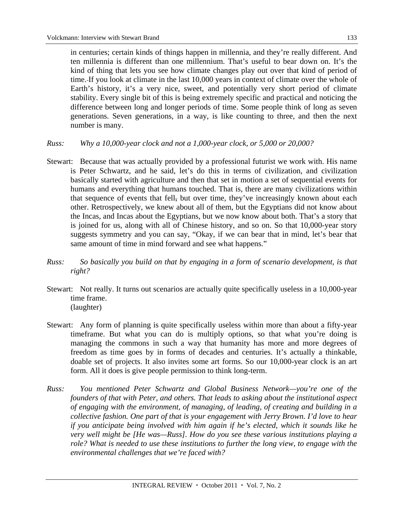in centuries; certain kinds of things happen in millennia, and they're really different. And ten millennia is different than one millennium. That's useful to bear down on. It's the kind of thing that lets you see how climate changes play out over that kind of period of time. If you look at climate in the last 10,000 years in context of climate over the whole of Earth's history, it's a very nice, sweet, and potentially very short period of climate stability. Every single bit of this is being extremely specific and practical and noticing the difference between long and longer periods of time. Some people think of long as seven generations. Seven generations, in a way, is like counting to three, and then the next number is many.

- *Russ: Why a 10,000-year clock and not a 1,000-year clock, or 5,000 or 20,000?*
- Stewart: Because that was actually provided by a professional futurist we work with. His name is Peter Schwartz, and he said, let's do this in terms of civilization, and civilization basically started with agriculture and then that set in motion a set of sequential events for humans and everything that humans touched. That is, there are many civilizations within that sequence of events that fell, but over time, they've increasingly known about each other. Retrospectively, we knew about all of them, but the Egyptians did not know about the Incas, and Incas about the Egyptians, but we now know about both. That's a story that is joined for us, along with all of Chinese history, and so on. So that 10,000-year story suggests symmetry and you can say, "Okay, if we can bear that in mind, let's bear that same amount of time in mind forward and see what happens."
- *Russ: So basically you build on that by engaging in a form of scenario development, is that right?*
- Stewart: Not really. It turns out scenarios are actually quite specifically useless in a 10,000-year time frame. (laughter)
- Stewart: Any form of planning is quite specifically useless within more than about a fifty-year timeframe. But what you can do is multiply options, so that what you're doing is managing the commons in such a way that humanity has more and more degrees of freedom as time goes by in forms of decades and centuries. It's actually a thinkable, doable set of projects. It also invites some art forms. So our 10,000-year clock is an art form. All it does is give people permission to think long-term.
- *Russ: You mentioned Peter Schwartz and Global Business Network—you're one of the founders of that with Peter, and others. That leads to asking about the institutional aspect of engaging with the environment, of managing, of leading, of creating and building in a collective fashion. One part of that is your engagement with Jerry Brown. I'd love to hear if you anticipate being involved with him again if he's elected, which it sounds like he very well might be [He was—Russ]. How do you see these various institutions playing a role? What is needed to use these institutions to further the long view, to engage with the environmental challenges that we're faced with?*